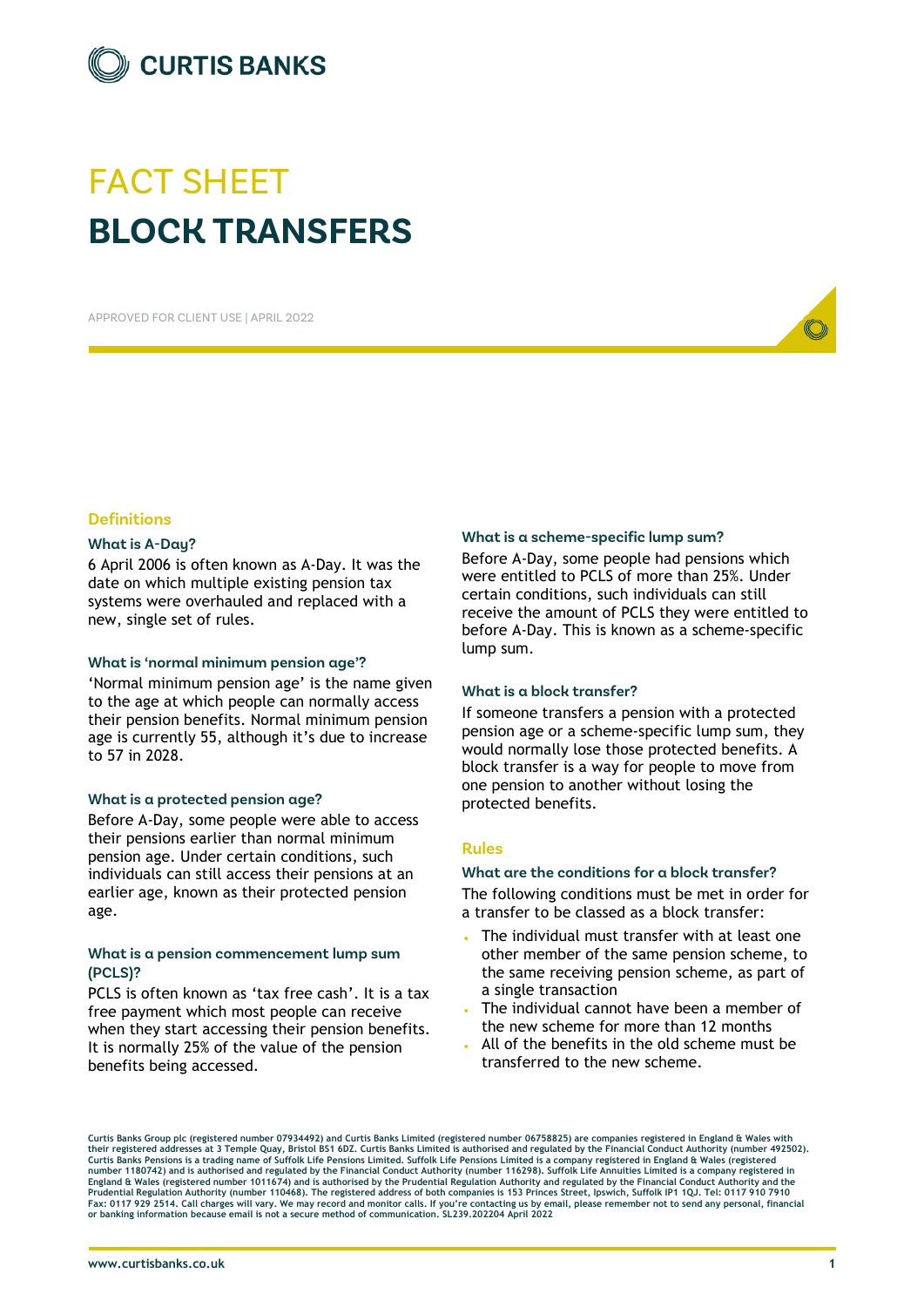

# FACT SHEET **BLOCK TRANSFERS**

APPROVED FOR CLIENT USE | APRIL 2022



# **Definitions**

### **What is A-Day?**

6 April 2006 is often known as A-Day. It was the date on which multiple existing pension tax systems were overhauled and replaced with a new, single set of rules.

### **What is 'normal minimum pension age'?**

'Normal minimum pension age' is the name given to the age at which people can normally access their pension benefits. Normal minimum pension age is currently 55, although it's due to increase to 57 in 2028.

### **What is a protected pension age?**

Before A-Day, some people were able to access their pensions earlier than normal minimum pension age. Under certain conditions, such individuals can still access their pensions at an earlier age, known as their protected pension age.

# **What is a pension commencement lump sum (PCLS)?**

PCLS is often known as 'tax free cash'. It is a tax free payment which most people can receive when they start accessing their pension benefits. It is normally 25% of the value of the pension benefits being accessed.

### **What is a scheme-specific lump sum?**

Before A-Day, some people had pensions which were entitled to PCLS of more than 25%. Under certain conditions, such individuals can still receive the amount of PCLS they were entitled to before A-Day. This is known as a scheme-specific lump sum.

### **What is a block transfer?**

If someone transfers a pension with a protected pension age or a scheme-specific lump sum, they would normally lose those protected benefits. A block transfer is a way for people to move from one pension to another without losing the protected benefits.

### **Rules**

### **What are the conditions for a block transfer?**

The following conditions must be met in order for a transfer to be classed as a block transfer:

- The individual must transfer with at least one other member of the same pension scheme, to the same receiving pension scheme, as part of a single transaction
- The individual cannot have been a member of the new scheme for more than 12 months
- All of the benefits in the old scheme must be transferred to the new scheme.

**Curtis Banks Group plc (registered number 07934492) and Curtis Banks Limited (registered number 06758825) are companies registered in England & Wales with**  their registered addresses at 3 Temple Quay, Bristol BS1 6DZ. Curtis Banks Limited is authorised and regulated by the Financial Conduct Authority (number 492502).<br>Curtis Banks Pensions is a trading name of Suffolk Life Pen number 1180742) and is authorised and regulated by the Financial Conduct Authority (number 116298). Suffolk Life Annuities Limited is a company registered in<br>England & Wales (registered number 1011674) and is authorised by **Prudential Regulation Authority (number 110468). The registered address of both companies is 153 Princes Street, Ipswich, Suffolk IP1 1QJ. Tel: 0117 910 7910**  Fax: 0117 929 2514. Call charges will vary. We may record and monitor calls. If you're contacting us by email, please remember not to send any personal, financial<br>or banking information because email is not a secure method